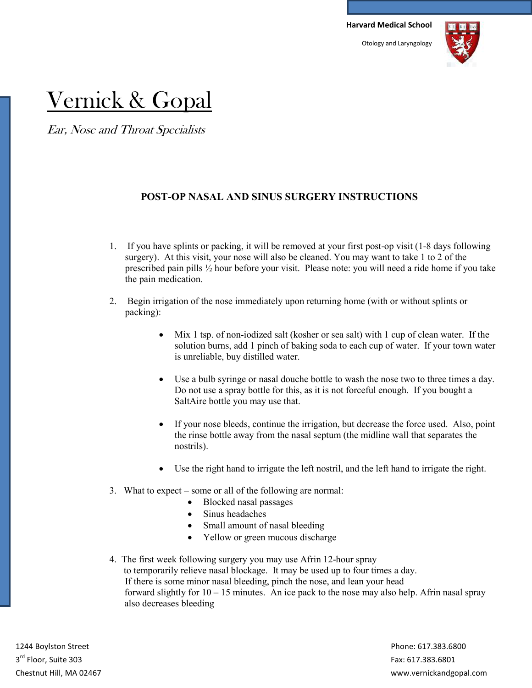Otology and Laryngology



# Vernick & Gopal

Ear, Nose and Throat Specialists

## **POST-OP NASAL AND SINUS SURGERY INSTRUCTIONS**

- 1. If you have splints or packing, it will be removed at your first post-op visit (1-8 days following surgery). At this visit, your nose will also be cleaned. You may want to take 1 to 2 of the prescribed pain pills ½ hour before your visit. Please note: you will need a ride home if you take the pain medication.
- 2. Begin irrigation of the nose immediately upon returning home (with or without splints or packing):
	- Mix 1 tsp. of non-iodized salt (kosher or sea salt) with 1 cup of clean water. If the solution burns, add 1 pinch of baking soda to each cup of water. If your town water is unreliable, buy distilled water.
	- Use a bulb syringe or nasal douche bottle to wash the nose two to three times a day. Do not use a spray bottle for this, as it is not forceful enough. If you bought a SaltAire bottle you may use that.
	- If your nose bleeds, continue the irrigation, but decrease the force used. Also, point the rinse bottle away from the nasal septum (the midline wall that separates the nostrils).
	- Use the right hand to irrigate the left nostril, and the left hand to irrigate the right.
- 3. What to expect some or all of the following are normal:
	- Blocked nasal passages
	- Sinus headaches
	- Small amount of nasal bleeding
	- Yellow or green mucous discharge
- 4. The first week following surgery you may use Afrin 12-hour spray to temporarily relieve nasal blockage. It may be used up to four times a day. If there is some minor nasal bleeding, pinch the nose, and lean your head forward slightly for  $10 - 15$  minutes. An ice pack to the nose may also help. Afrin nasal spray also decreases bleeding

1244 Boylston Street Phone: 617.383.6800  $3^{rd}$  Floor, Suite 303 Fax: 617.383.6801

Chestnut Hill, MA 02467 www.vernickandgopal.com